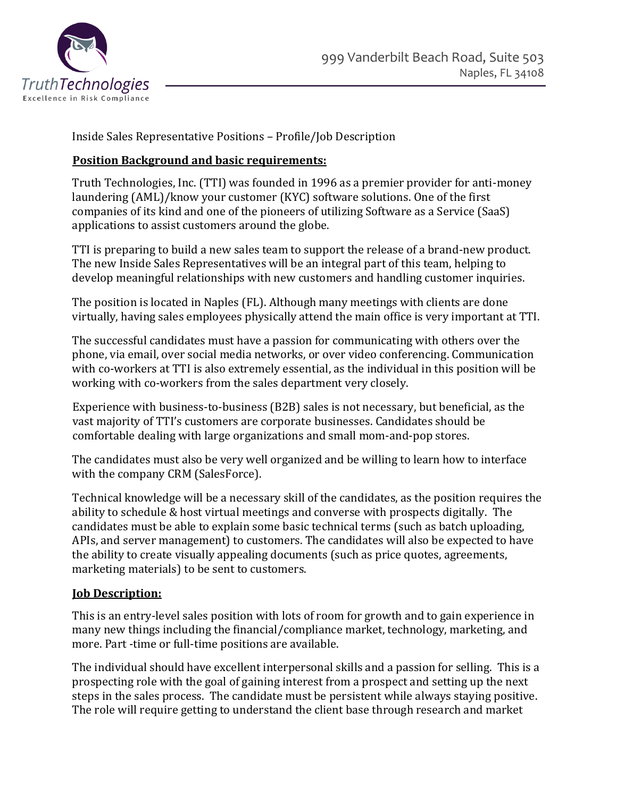

Inside Sales Representative Positions – Profile/Job Description

## **Position Background and basic requirements:**

Truth Technologies, Inc. (TTI) was founded in 1996 as a premier provider for anti-money laundering (AML)/know your customer (KYC) software solutions. One of the first companies of its kind and one of the pioneers of utilizing Software as a Service (SaaS) applications to assist customers around the globe.

TTI is preparing to build a new sales team to support the release of a brand-new product. The new Inside Sales Representatives will be an integral part of this team, helping to develop meaningful relationships with new customers and handling customer inquiries.

The position is located in Naples (FL). Although many meetings with clients are done virtually, having sales employees physically attend the main office is very important at TTI.

The successful candidates must have a passion for communicating with others over the phone, via email, over social media networks, or over video conferencing. Communication with co-workers at TTI is also extremely essential, as the individual in this position will be working with co-workers from the sales department very closely.

Experience with business-to-business (B2B) sales is not necessary, but beneficial, as the vast majority of TTI's customers are corporate businesses. Candidates should be comfortable dealing with large organizations and small mom-and-pop stores.

The candidates must also be very well organized and be willing to learn how to interface with the company CRM (SalesForce).

Technical knowledge will be a necessary skill of the candidates, as the position requires the ability to schedule & host virtual meetings and converse with prospects digitally. The candidates must be able to explain some basic technical terms (such as batch uploading, APIs, and server management) to customers. The candidates will also be expected to have the ability to create visually appealing documents (such as price quotes, agreements, marketing materials) to be sent to customers.

## **Job Description:**

This is an entry-level sales position with lots of room for growth and to gain experience in many new things including the financial/compliance market, technology, marketing, and more. Part -time or full-time positions are available.

The individual should have excellent interpersonal skills and a passion for selling. This is a prospecting role with the goal of gaining interest from a prospect and setting up the next steps in the sales process. The candidate must be persistent while always staying positive. The role will require getting to understand the client base through research and market